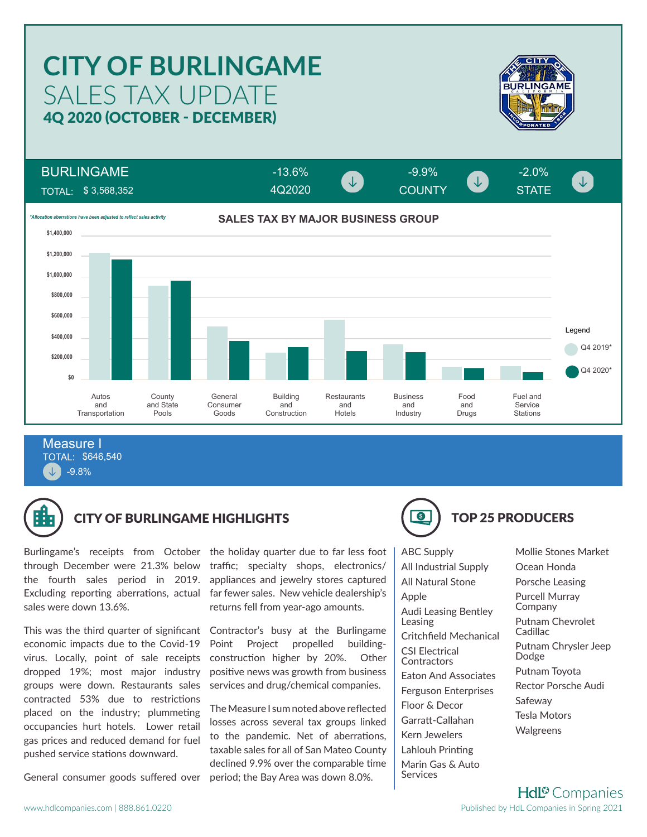## SALES TAX UPDATE **CITY OF BURLINGAME** 4Q 2020 (OCTOBER - DECEMBER)



 $\downarrow$ 

BURLINGAME

TOTAL: \$ 3,568,352



4Q2020

-13.6% -9.9% -2.0%

COUNTY STATE

TOTAL: \$646,540 -9.8% Measure I



## CITY OF BURLINGAME HIGHLIGHTS **TOP 25 PRODUCERS**

through December were 21.3% below the fourth sales period in 2019. Excluding reporting aberrations, actual sales were down 13.6%.

This was the third quarter of significant economic impacts due to the Covid-19 virus. Locally, point of sale receipts dropped 19%; most major industry groups were down. Restaurants sales contracted 53% due to restrictions placed on the industry; plummeting occupancies hurt hotels. Lower retail gas prices and reduced demand for fuel pushed service stations downward.

General consumer goods suffered over period; the Bay Area was down 8.0%.

Burlingame's receipts from October the holiday quarter due to far less foot traffic; specialty shops, electronics/ appliances and jewelry stores captured far fewer sales. New vehicle dealership's returns fell from year-ago amounts.

> Contractor's busy at the Burlingame Point Project propelled buildingconstruction higher by 20%. Other positive news was growth from business services and drug/chemical companies.

> The Measure I sum noted above reflected losses across several tax groups linked to the pandemic. Net of aberrations, taxable sales for all of San Mateo County declined 9.9% over the comparable time



ABC Supply All Industrial Supply All Natural Stone Apple Audi Leasing Bentley Leasing Critchfield Mechanical CSI Electrical **Contractors** Eaton And Associates Ferguson Enterprises Floor & Decor Garratt-Callahan Kern Jewelers Lahlouh Printing Marin Gas & Auto **Services** 

Mollie Stones Market Ocean Honda Porsche Leasing Purcell Murray Company Putnam Chevrolet **Cadillac** Putnam Chrysler Jeep Dodge Putnam Toyota Rector Porsche Audi Safeway Tesla Motors Walgreens

**Hdl<sup>®</sup>** Companies Published by HdL Companies in Spring 2021